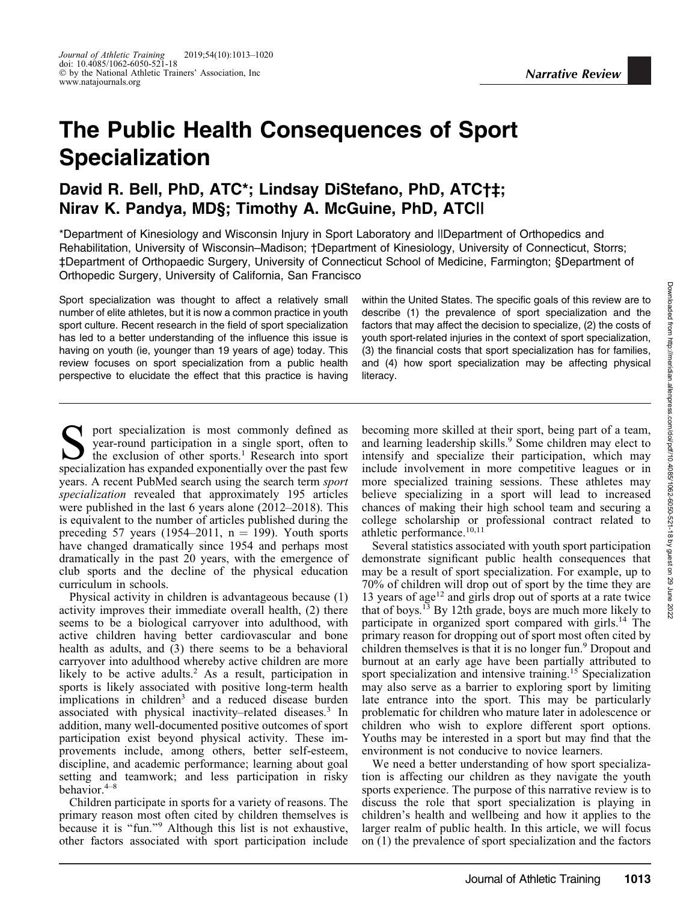# The Public Health Consequences of Sport Specialization

# David R. Bell, PhD, ATC\*; Lindsay DiStefano, PhD, ATC†‡; Nirav K. Pandya, MD§; Timothy A. McGuine, PhD, ATC||

\*Department of Kinesiology and Wisconsin Injury in Sport Laboratory and ||Department of Orthopedics and Rehabilitation, University of Wisconsin–Madison; †Department of Kinesiology, University of Connecticut, Storrs; ‡Department of Orthopaedic Surgery, University of Connecticut School of Medicine, Farmington; §Department of Orthopedic Surgery, University of California, San Francisco

Sport specialization was thought to affect a relatively small number of elite athletes, but it is now a common practice in youth sport culture. Recent research in the field of sport specialization has led to a better understanding of the influence this issue is having on youth (ie, younger than 19 years of age) today. This review focuses on sport specialization from a public health perspective to elucidate the effect that this practice is having within the United States. The specific goals of this review are to describe (1) the prevalence of sport specialization and the factors that may affect the decision to specialize, (2) the costs of youth sport-related injuries in the context of sport specialization, (3) the financial costs that sport specialization has for families, and (4) how sport specialization may be affecting physical literacy.

Narrative Review

Sport specialization is most commonly defined as<br>year-round participation in a single sport, often to<br>the exclusion of other sports.<sup>1</sup> Research into sport<br>specialization has expanded exponentially over the past few year-round participation in a single sport, often to specialization has expanded exponentially over the past few years. A recent PubMed search using the search term sport specialization revealed that approximately 195 articles were published in the last 6 years alone (2012–2018). This is equivalent to the number of articles published during the preceding 57 years (1954–2011,  $n = 199$ ). Youth sports have changed dramatically since 1954 and perhaps most dramatically in the past 20 years, with the emergence of club sports and the decline of the physical education curriculum in schools.

Physical activity in children is advantageous because (1) activity improves their immediate overall health, (2) there seems to be a biological carryover into adulthood, with active children having better cardiovascular and bone health as adults, and (3) there seems to be a behavioral carryover into adulthood whereby active children are more likely to be active adults.<sup>2</sup> As a result, participation in sports is likely associated with positive long-term health implications in children<sup>3</sup> and a reduced disease burden associated with physical inactivity–related diseases.<sup>3</sup> In addition, many well-documented positive outcomes of sport participation exist beyond physical activity. These improvements include, among others, better self-esteem, discipline, and academic performance; learning about goal setting and teamwork; and less participation in risky behavior.4–8

Children participate in sports for a variety of reasons. The primary reason most often cited by children themselves is because it is "fun."<sup>9</sup> Although this list is not exhaustive, other factors associated with sport participation include becoming more skilled at their sport, being part of a team, and learning leadership skills.<sup>9</sup> Some children may elect to intensify and specialize their participation, which may include involvement in more competitive leagues or in more specialized training sessions. These athletes may believe specializing in a sport will lead to increased chances of making their high school team and securing a college scholarship or professional contract related to athletic performance.<sup>10,11</sup>

Several statistics associated with youth sport participation demonstrate significant public health consequences that may be a result of sport specialization. For example, up to 70% of children will drop out of sport by the time they are 13 years of  $age<sup>12</sup>$  and girls drop out of sports at a rate twice that of boys.<sup>13</sup> By 12th grade, boys are much more likely to participate in organized sport compared with girls.<sup>14</sup> The primary reason for dropping out of sport most often cited by children themselves is that it is no longer fun.<sup>9</sup> Dropout and burnout at an early age have been partially attributed to sport specialization and intensive training.<sup>15</sup> Specialization may also serve as a barrier to exploring sport by limiting late entrance into the sport. This may be particularly problematic for children who mature later in adolescence or children who wish to explore different sport options. Youths may be interested in a sport but may find that the environment is not conducive to novice learners.

We need a better understanding of how sport specialization is affecting our children as they navigate the youth sports experience. The purpose of this narrative review is to discuss the role that sport specialization is playing in children's health and wellbeing and how it applies to the larger realm of public health. In this article, we will focus on (1) the prevalence of sport specialization and the factors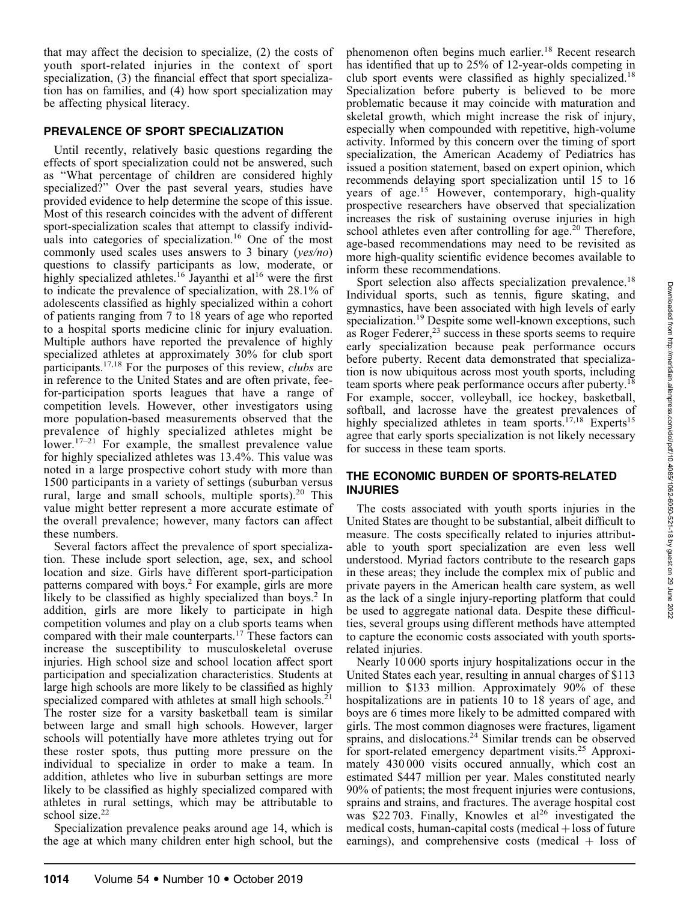that may affect the decision to specialize, (2) the costs of youth sport-related injuries in the context of sport specialization, (3) the financial effect that sport specialization has on families, and (4) how sport specialization may be affecting physical literacy.

# PREVALENCE OF SPORT SPECIALIZATION

Until recently, relatively basic questions regarding the effects of sport specialization could not be answered, such as ''What percentage of children are considered highly specialized?'' Over the past several years, studies have provided evidence to help determine the scope of this issue. Most of this research coincides with the advent of different sport-specialization scales that attempt to classify individuals into categories of specialization.<sup>16</sup> One of the most commonly used scales uses answers to 3 binary (yes/no) questions to classify participants as low, moderate, or highly specialized athletes.<sup>16</sup> Jayanthi et al<sup>16</sup> were the first to indicate the prevalence of specialization, with 28.1% of adolescents classified as highly specialized within a cohort of patients ranging from 7 to 18 years of age who reported to a hospital sports medicine clinic for injury evaluation. Multiple authors have reported the prevalence of highly specialized athletes at approximately 30% for club sport participants.<sup>17,18</sup> For the purposes of this review, *clubs* are in reference to the United States and are often private, feefor-participation sports leagues that have a range of competition levels. However, other investigators using more population-based measurements observed that the prevalence of highly specialized athletes might be lower. $17-21$  For example, the smallest prevalence value for highly specialized athletes was 13.4%. This value was noted in a large prospective cohort study with more than 1500 participants in a variety of settings (suburban versus rural, large and small schools, multiple sports).<sup>20</sup> This value might better represent a more accurate estimate of the overall prevalence; however, many factors can affect these numbers.

Several factors affect the prevalence of sport specialization. These include sport selection, age, sex, and school location and size. Girls have different sport-participation patterns compared with boys.<sup>2</sup> For example, girls are more likely to be classified as highly specialized than boys.<sup>2</sup> In addition, girls are more likely to participate in high competition volumes and play on a club sports teams when compared with their male counterparts.<sup>17</sup> These factors can increase the susceptibility to musculoskeletal overuse injuries. High school size and school location affect sport participation and specialization characteristics. Students at large high schools are more likely to be classified as highly specialized compared with athletes at small high schools.<sup>21</sup> The roster size for a varsity basketball team is similar between large and small high schools. However, larger schools will potentially have more athletes trying out for these roster spots, thus putting more pressure on the individual to specialize in order to make a team. In addition, athletes who live in suburban settings are more likely to be classified as highly specialized compared with athletes in rural settings, which may be attributable to school size.<sup>22</sup>

Specialization prevalence peaks around age 14, which is the age at which many children enter high school, but the phenomenon often begins much earlier.18 Recent research has identified that up to 25% of 12-year-olds competing in club sport events were classified as highly specialized.<sup>18</sup> Specialization before puberty is believed to be more problematic because it may coincide with maturation and skeletal growth, which might increase the risk of injury, especially when compounded with repetitive, high-volume activity. Informed by this concern over the timing of sport specialization, the American Academy of Pediatrics has issued a position statement, based on expert opinion, which recommends delaying sport specialization until 15 to 16 years of age.<sup>15</sup> However, contemporary, high-quality prospective researchers have observed that specialization increases the risk of sustaining overuse injuries in high school athletes even after controlling for age.<sup>20</sup> Therefore, age-based recommendations may need to be revisited as more high-quality scientific evidence becomes available to inform these recommendations.

Sport selection also affects specialization prevalence.<sup>18</sup> Individual sports, such as tennis, figure skating, and gymnastics, have been associated with high levels of early specialization.<sup>19</sup> Despite some well-known exceptions, such as Roger Federer, $^{23}$  success in these sports seems to require early specialization because peak performance occurs before puberty. Recent data demonstrated that specialization is now ubiquitous across most youth sports, including team sports where peak performance occurs after puberty.<sup>18</sup> For example, soccer, volleyball, ice hockey, basketball, softball, and lacrosse have the greatest prevalences of highly specialized athletes in team sports.<sup>17,18</sup> Experts<sup>15</sup> agree that early sports specialization is not likely necessary for success in these team sports.

# THE ECONOMIC BURDEN OF SPORTS-RELATED INJURIES

The costs associated with youth sports injuries in the United States are thought to be substantial, albeit difficult to measure. The costs specifically related to injuries attributable to youth sport specialization are even less well understood. Myriad factors contribute to the research gaps in these areas; they include the complex mix of public and private payers in the American health care system, as well as the lack of a single injury-reporting platform that could be used to aggregate national data. Despite these difficulties, several groups using different methods have attempted to capture the economic costs associated with youth sportsrelated injuries.

Nearly 10 000 sports injury hospitalizations occur in the United States each year, resulting in annual charges of \$113 million to \$133 million. Approximately 90% of these hospitalizations are in patients 10 to 18 years of age, and boys are 6 times more likely to be admitted compared with girls. The most common diagnoses were fractures, ligament sprains, and dislocations.<sup>24</sup> Similar trends can be observed for sport-related emergency department visits.<sup>25</sup> Approximately 430 000 visits occured annually, which cost an estimated \$447 million per year. Males constituted nearly 90% of patients; the most frequent injuries were contusions, sprains and strains, and fractures. The average hospital cost was \$22.703. Finally, Knowles et al<sup>26</sup> investigated the medical costs, human-capital costs (medical  $+$  loss of future earnings), and comprehensive costs (medical  $+$  loss of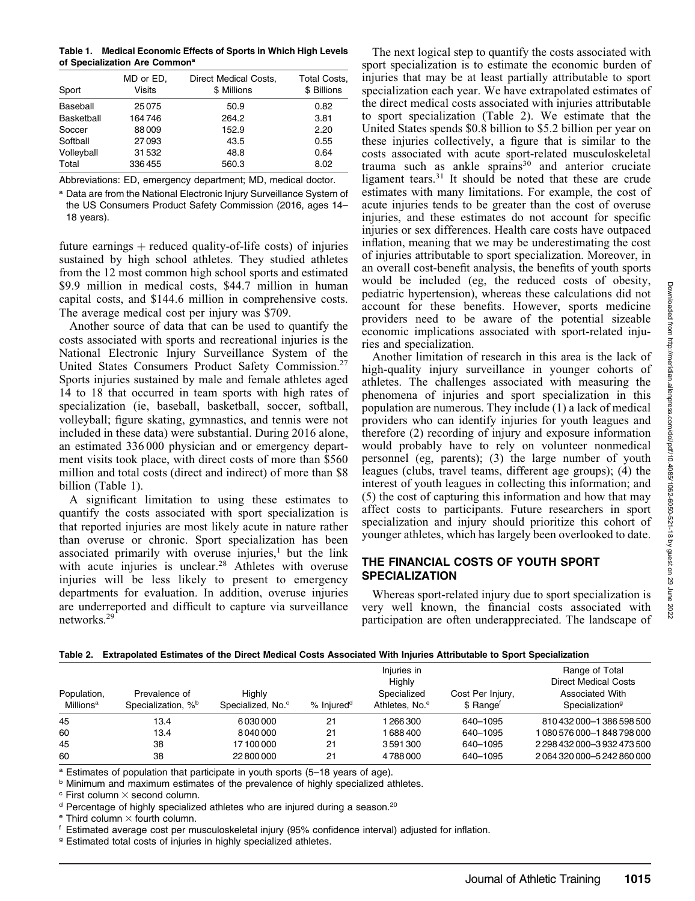Table 1. Medical Economic Effects of Sports in Which High Levels of Specialization Are Common<sup>a</sup>

| Sport             | MD or ED,<br>Visits | Direct Medical Costs,<br>\$ Millions | <b>Total Costs,</b><br>\$ Billions |  |
|-------------------|---------------------|--------------------------------------|------------------------------------|--|
| Baseball          | 25075               | 50.9                                 | 0.82                               |  |
| <b>Basketball</b> | 164746              | 264.2                                | 3.81                               |  |
| Soccer            | 88009               | 152.9                                | 2.20                               |  |
| Softball          | 27093               | 43.5                                 | 0.55                               |  |
| Volleyball        | 31532               | 48.8                                 | 0.64                               |  |
| Total             | 336455              | 560.3                                | 8.02                               |  |

Abbreviations: ED, emergency department; MD, medical doctor.

<sup>a</sup> Data are from the National Electronic Injury Surveillance System of the US Consumers Product Safety Commission (2016, ages 14– 18 years).

future earnings  $+$  reduced quality-of-life costs) of injuries sustained by high school athletes. They studied athletes from the 12 most common high school sports and estimated \$9.9 million in medical costs, \$44.7 million in human capital costs, and \$144.6 million in comprehensive costs. The average medical cost per injury was \$709.

Another source of data that can be used to quantify the costs associated with sports and recreational injuries is the National Electronic Injury Surveillance System of the United States Consumers Product Safety Commission.27 Sports injuries sustained by male and female athletes aged 14 to 18 that occurred in team sports with high rates of specialization (ie, baseball, basketball, soccer, softball, volleyball; figure skating, gymnastics, and tennis were not included in these data) were substantial. During 2016 alone, an estimated 336 000 physician and or emergency department visits took place, with direct costs of more than \$560 million and total costs (direct and indirect) of more than \$8 billion (Table 1).

A significant limitation to using these estimates to quantify the costs associated with sport specialization is that reported injuries are most likely acute in nature rather than overuse or chronic. Sport specialization has been associated primarily with overuse injuries, $<sup>1</sup>$  but the link</sup> with acute injuries is unclear.<sup>28</sup> Athletes with overuse injuries will be less likely to present to emergency departments for evaluation. In addition, overuse injuries are underreported and difficult to capture via surveillance networks.29

The next logical step to quantify the costs associated with sport specialization is to estimate the economic burden of injuries that may be at least partially attributable to sport specialization each year. We have extrapolated estimates of the direct medical costs associated with injuries attributable to sport specialization (Table 2). We estimate that the United States spends \$0.8 billion to \$5.2 billion per year on these injuries collectively, a figure that is similar to the costs associated with acute sport-related musculoskeletal trauma such as ankle sprains<sup>30</sup> and anterior cruciate ligament tears.<sup>31</sup> It should be noted that these are crude estimates with many limitations. For example, the cost of acute injuries tends to be greater than the cost of overuse injuries, and these estimates do not account for specific injuries or sex differences. Health care costs have outpaced inflation, meaning that we may be underestimating the cost of injuries attributable to sport specialization. Moreover, in an overall cost-benefit analysis, the benefits of youth sports would be included (eg, the reduced costs of obesity, pediatric hypertension), whereas these calculations did not account for these benefits. However, sports medicine providers need to be aware of the potential sizeable economic implications associated with sport-related injuries and specialization.

Another limitation of research in this area is the lack of high-quality injury surveillance in younger cohorts of athletes. The challenges associated with measuring the phenomena of injuries and sport specialization in this population are numerous. They include (1) a lack of medical providers who can identify injuries for youth leagues and therefore (2) recording of injury and exposure information would probably have to rely on volunteer nonmedical personnel (eg, parents); (3) the large number of youth leagues (clubs, travel teams, different age groups); (4) the interest of youth leagues in collecting this information; and (5) the cost of capturing this information and how that may affect costs to participants. Future researchers in sport specialization and injury should prioritize this cohort of younger athletes, which has largely been overlooked to date.

#### THE FINANCIAL COSTS OF YOUTH SPORT SPECIALIZATION

Whereas sport-related injury due to sport specialization is very well known, the financial costs associated with participation are often underappreciated. The landscape of

| Population,<br>Millions <sup>a</sup> | Prevalence of<br>Specialization, % <sup>b</sup> | Highly<br>Specialized, No. <sup>c</sup> | % Injured <sup>d</sup> | Injuries in<br>Highly<br>Specialized<br>Athletes, No. <sup>e</sup> | Cost Per Injury,<br>\$ Range <sup>f</sup> | Range of Total<br><b>Direct Medical Costs</b><br><b>Associated With</b><br>Specialization <sup>9</sup> |
|--------------------------------------|-------------------------------------------------|-----------------------------------------|------------------------|--------------------------------------------------------------------|-------------------------------------------|--------------------------------------------------------------------------------------------------------|
| 45                                   | 13.4                                            | 6030000                                 | 21                     | 1266300                                                            | 640-1095                                  | 810 432 000 - 1386 598 500                                                                             |
| 60                                   | 13.4                                            | 8040000                                 | 21                     | 1 688 400                                                          | 640-1095                                  | 1080576000-1848798000                                                                                  |
| 45                                   | 38                                              | 17 100 000                              | 21                     | 3591300                                                            | 640-1095                                  | 2298432000-3932473500                                                                                  |
| 60                                   | 38                                              | 22 800 000                              | 21                     | 4788000                                                            | 640-1095                                  | 2064320000-5242860000                                                                                  |

Table 2. Extrapolated Estimates of the Direct Medical Costs Associated With Injuries Attributable to Sport Specialization

<sup>a</sup> Estimates of population that participate in youth sports (5–18 years of age).

<sup>b</sup> Minimum and maximum estimates of the prevalence of highly specialized athletes.

 $\textdegree$  First column  $\times$  second column.

d Percentage of highly specialized athletes who are injured during a season.<sup>20</sup>

 $e$  Third column  $\times$  fourth column.

<sup>f</sup> Estimated average cost per musculoskeletal injury (95% confidence interval) adjusted for inflation.

<sup>g</sup> Estimated total costs of injuries in highly specialized athletes.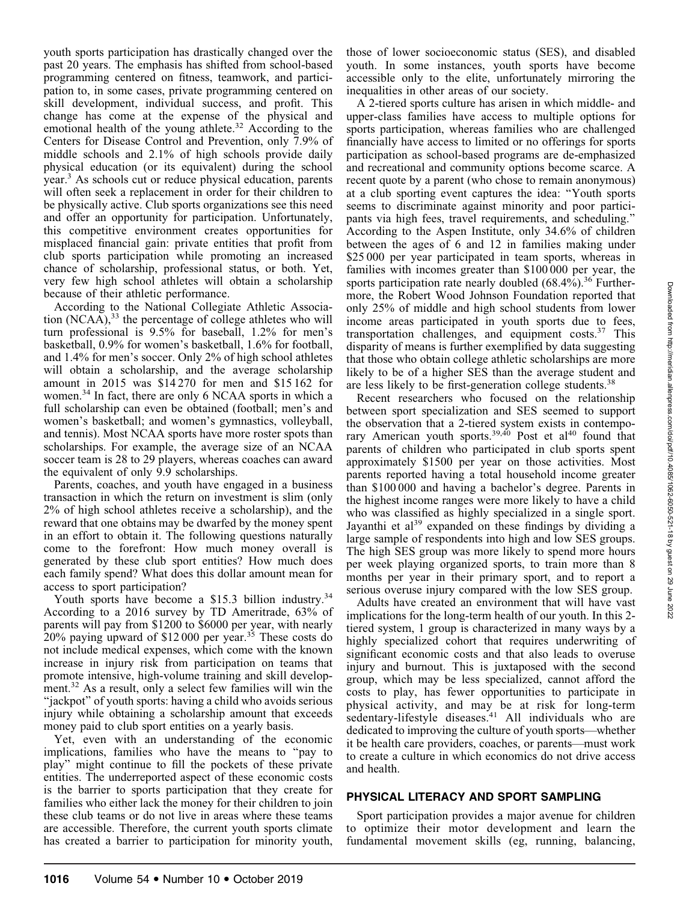youth sports participation has drastically changed over the past 20 years. The emphasis has shifted from school-based programming centered on fitness, teamwork, and participation to, in some cases, private programming centered on skill development, individual success, and profit. This change has come at the expense of the physical and emotional health of the young athlete.<sup>32</sup> According to the Centers for Disease Control and Prevention, only 7.9% of middle schools and 2.1% of high schools provide daily physical education (or its equivalent) during the school year.3 As schools cut or reduce physical education, parents will often seek a replacement in order for their children to be physically active. Club sports organizations see this need and offer an opportunity for participation. Unfortunately, this competitive environment creates opportunities for misplaced financial gain: private entities that profit from club sports participation while promoting an increased chance of scholarship, professional status, or both. Yet, very few high school athletes will obtain a scholarship because of their athletic performance.

According to the National Collegiate Athletic Association  $(NCAA)$ ,  $33$  the percentage of college athletes who will turn professional is 9.5% for baseball, 1.2% for men's basketball, 0.9% for women's basketball, 1.6% for football, and 1.4% for men's soccer. Only 2% of high school athletes will obtain a scholarship, and the average scholarship amount in 2015 was \$14 270 for men and \$15 162 for women.34 In fact, there are only 6 NCAA sports in which a full scholarship can even be obtained (football; men's and women's basketball; and women's gymnastics, volleyball, and tennis). Most NCAA sports have more roster spots than scholarships. For example, the average size of an NCAA soccer team is 28 to 29 players, whereas coaches can award the equivalent of only 9.9 scholarships.

Parents, coaches, and youth have engaged in a business transaction in which the return on investment is slim (only 2% of high school athletes receive a scholarship), and the reward that one obtains may be dwarfed by the money spent in an effort to obtain it. The following questions naturally come to the forefront: How much money overall is generated by these club sport entities? How much does each family spend? What does this dollar amount mean for access to sport participation?

Youth sports have become a \$15.3 billion industry.<sup>34</sup> According to a 2016 survey by TD Ameritrade, 63% of parents will pay from \$1200 to \$6000 per year, with nearly 20% paying upward of \$12 000 per year.<sup>35</sup> These costs do not include medical expenses, which come with the known increase in injury risk from participation on teams that promote intensive, high-volume training and skill development.<sup>32</sup> As a result, only a select few families will win the "jackpot" of youth sports: having a child who avoids serious injury while obtaining a scholarship amount that exceeds money paid to club sport entities on a yearly basis.

Yet, even with an understanding of the economic implications, families who have the means to ''pay to play'' might continue to fill the pockets of these private entities. The underreported aspect of these economic costs is the barrier to sports participation that they create for families who either lack the money for their children to join these club teams or do not live in areas where these teams are accessible. Therefore, the current youth sports climate has created a barrier to participation for minority youth,

those of lower socioeconomic status (SES), and disabled youth. In some instances, youth sports have become accessible only to the elite, unfortunately mirroring the inequalities in other areas of our society.

A 2-tiered sports culture has arisen in which middle- and upper-class families have access to multiple options for sports participation, whereas families who are challenged financially have access to limited or no offerings for sports participation as school-based programs are de-emphasized and recreational and community options become scarce. A recent quote by a parent (who chose to remain anonymous) at a club sporting event captures the idea: ''Youth sports seems to discriminate against minority and poor participants via high fees, travel requirements, and scheduling.'' According to the Aspen Institute, only 34.6% of children between the ages of 6 and 12 in families making under \$25,000 per year participated in team sports, whereas in families with incomes greater than \$100 000 per year, the sports participation rate nearly doubled  $(68.4\%)$ .<sup>36</sup> Furthermore, the Robert Wood Johnson Foundation reported that only 25% of middle and high school students from lower income areas participated in youth sports due to fees, transportation challenges, and equipment  $costs<sup>37</sup>$  This disparity of means is further exemplified by data suggesting that those who obtain college athletic scholarships are more likely to be of a higher SES than the average student and are less likely to be first-generation college students.<sup>38</sup>

Recent researchers who focused on the relationship between sport specialization and SES seemed to support the observation that a 2-tiered system exists in contemporary American youth sports.<sup>39,40</sup> Post et al<sup>40</sup> found that parents of children who participated in club sports spent approximately \$1500 per year on those activities. Most parents reported having a total household income greater than \$100 000 and having a bachelor's degree. Parents in the highest income ranges were more likely to have a child who was classified as highly specialized in a single sport. Jayanthi et  $a^{39}$  expanded on these findings by dividing a large sample of respondents into high and low SES groups. The high SES group was more likely to spend more hours per week playing organized sports, to train more than 8 months per year in their primary sport, and to report a serious overuse injury compared with the low SES group.

Adults have created an environment that will have vast implications for the long-term health of our youth. In this 2 tiered system, 1 group is characterized in many ways by a highly specialized cohort that requires underwriting of significant economic costs and that also leads to overuse injury and burnout. This is juxtaposed with the second group, which may be less specialized, cannot afford the costs to play, has fewer opportunities to participate in physical activity, and may be at risk for long-term sedentary-lifestyle diseases.<sup>41</sup> All individuals who are dedicated to improving the culture of youth sports—whether it be health care providers, coaches, or parents—must work to create a culture in which economics do not drive access and health.

#### PHYSICAL LITERACY AND SPORT SAMPLING

Sport participation provides a major avenue for children to optimize their motor development and learn the fundamental movement skills (eg, running, balancing,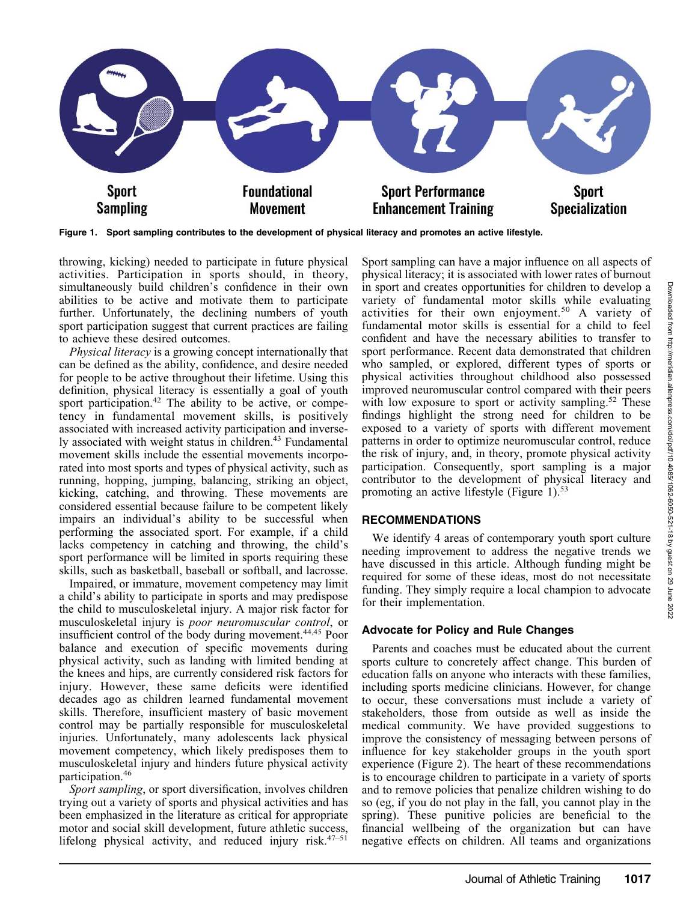

Figure 1. Sport sampling contributes to the development of physical literacy and promotes an active lifestyle.

throwing, kicking) needed to participate in future physical activities. Participation in sports should, in theory, simultaneously build children's confidence in their own abilities to be active and motivate them to participate further. Unfortunately, the declining numbers of youth sport participation suggest that current practices are failing to achieve these desired outcomes.

Physical literacy is a growing concept internationally that can be defined as the ability, confidence, and desire needed for people to be active throughout their lifetime. Using this definition, physical literacy is essentially a goal of youth sport participation.<sup>42</sup> The ability to be active, or competency in fundamental movement skills, is positively associated with increased activity participation and inversely associated with weight status in children.<sup>43</sup> Fundamental movement skills include the essential movements incorporated into most sports and types of physical activity, such as running, hopping, jumping, balancing, striking an object, kicking, catching, and throwing. These movements are considered essential because failure to be competent likely impairs an individual's ability to be successful when performing the associated sport. For example, if a child lacks competency in catching and throwing, the child's sport performance will be limited in sports requiring these skills, such as basketball, baseball or softball, and lacrosse.

Impaired, or immature, movement competency may limit a child's ability to participate in sports and may predispose the child to musculoskeletal injury. A major risk factor for musculoskeletal injury is poor neuromuscular control, or insufficient control of the body during movement.<sup>44,45</sup> Poor balance and execution of specific movements during physical activity, such as landing with limited bending at the knees and hips, are currently considered risk factors for injury. However, these same deficits were identified decades ago as children learned fundamental movement skills. Therefore, insufficient mastery of basic movement control may be partially responsible for musculoskeletal injuries. Unfortunately, many adolescents lack physical movement competency, which likely predisposes them to musculoskeletal injury and hinders future physical activity participation.46

Sport sampling, or sport diversification, involves children trying out a variety of sports and physical activities and has been emphasized in the literature as critical for appropriate motor and social skill development, future athletic success, lifelong physical activity, and reduced injury risk. $47-51$ 

Sport sampling can have a major influence on all aspects of physical literacy; it is associated with lower rates of burnout in sport and creates opportunities for children to develop a variety of fundamental motor skills while evaluating activities for their own enjoyment.<sup>50</sup> A variety of fundamental motor skills is essential for a child to feel confident and have the necessary abilities to transfer to sport performance. Recent data demonstrated that children who sampled, or explored, different types of sports or physical activities throughout childhood also possessed improved neuromuscular control compared with their peers with low exposure to sport or activity sampling.<sup>52</sup> These findings highlight the strong need for children to be exposed to a variety of sports with different movement patterns in order to optimize neuromuscular control, reduce the risk of injury, and, in theory, promote physical activity participation. Consequently, sport sampling is a major contributor to the development of physical literacy and promoting an active lifestyle (Figure 1).<sup>53</sup>

#### RECOMMENDATIONS

We identify 4 areas of contemporary youth sport culture needing improvement to address the negative trends we have discussed in this article. Although funding might be required for some of these ideas, most do not necessitate funding. They simply require a local champion to advocate for their implementation.

#### Advocate for Policy and Rule Changes

Parents and coaches must be educated about the current sports culture to concretely affect change. This burden of education falls on anyone who interacts with these families, including sports medicine clinicians. However, for change to occur, these conversations must include a variety of stakeholders, those from outside as well as inside the medical community. We have provided suggestions to improve the consistency of messaging between persons of influence for key stakeholder groups in the youth sport experience (Figure 2). The heart of these recommendations is to encourage children to participate in a variety of sports and to remove policies that penalize children wishing to do so (eg, if you do not play in the fall, you cannot play in the spring). These punitive policies are beneficial to the financial wellbeing of the organization but can have negative effects on children. All teams and organizations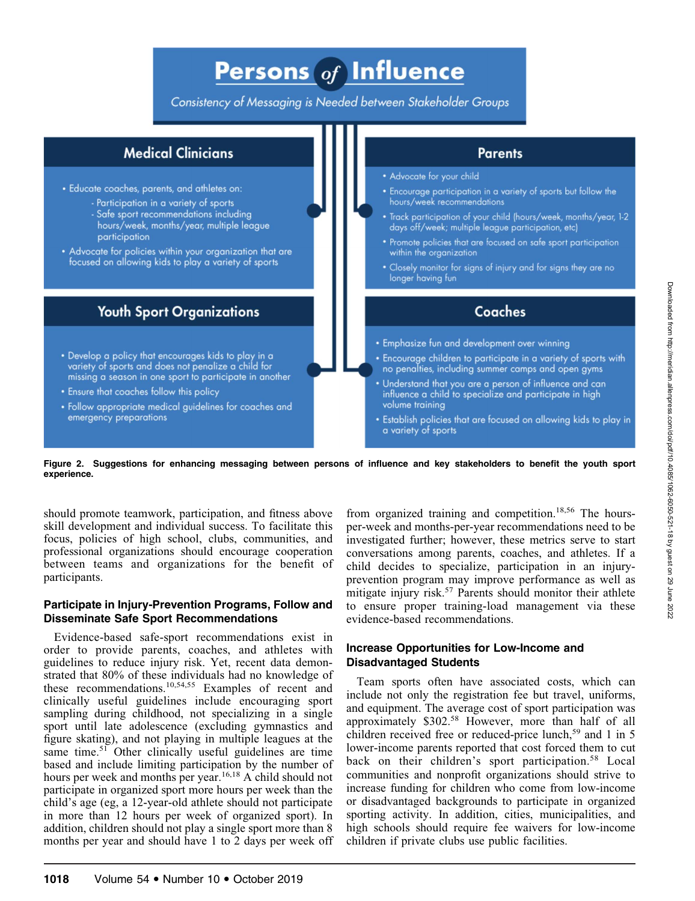

Figure 2. Suggestions for enhancing messaging between persons of influence and key stakeholders to benefit the youth sport experience.

should promote teamwork, participation, and fitness above skill development and individual success. To facilitate this focus, policies of high school, clubs, communities, and professional organizations should encourage cooperation between teams and organizations for the benefit of participants.

## Participate in Injury-Prevention Programs, Follow and Disseminate Safe Sport Recommendations

Evidence-based safe-sport recommendations exist in order to provide parents, coaches, and athletes with guidelines to reduce injury risk. Yet, recent data demonstrated that 80% of these individuals had no knowledge of these recommendations.<sup>10,54,55</sup> Examples of recent and clinically useful guidelines include encouraging sport sampling during childhood, not specializing in a single sport until late adolescence (excluding gymnastics and figure skating), and not playing in multiple leagues at the same time.<sup>51</sup> Other clinically useful guidelines are time based and include limiting participation by the number of hours per week and months per year.<sup>16,18</sup> A child should not participate in organized sport more hours per week than the child's age (eg, a 12-year-old athlete should not participate in more than 12 hours per week of organized sport). In addition, children should not play a single sport more than 8 months per year and should have 1 to 2 days per week off

from organized training and competition.<sup>18,56</sup> The hoursper-week and months-per-year recommendations need to be investigated further; however, these metrics serve to start conversations among parents, coaches, and athletes. If a child decides to specialize, participation in an injuryprevention program may improve performance as well as mitigate injury risk.<sup>57</sup> Parents should monitor their athlete to ensure proper training-load management via these evidence-based recommendations.

# Increase Opportunities for Low-Income and Disadvantaged Students

Team sports often have associated costs, which can include not only the registration fee but travel, uniforms, and equipment. The average cost of sport participation was approximately \$302.58 However, more than half of all children received free or reduced-price lunch,<sup>59</sup> and 1 in 5 lower-income parents reported that cost forced them to cut back on their children's sport participation.<sup>58</sup> Local communities and nonprofit organizations should strive to increase funding for children who come from low-income or disadvantaged backgrounds to participate in organized sporting activity. In addition, cities, municipalities, and high schools should require fee waivers for low-income children if private clubs use public facilities.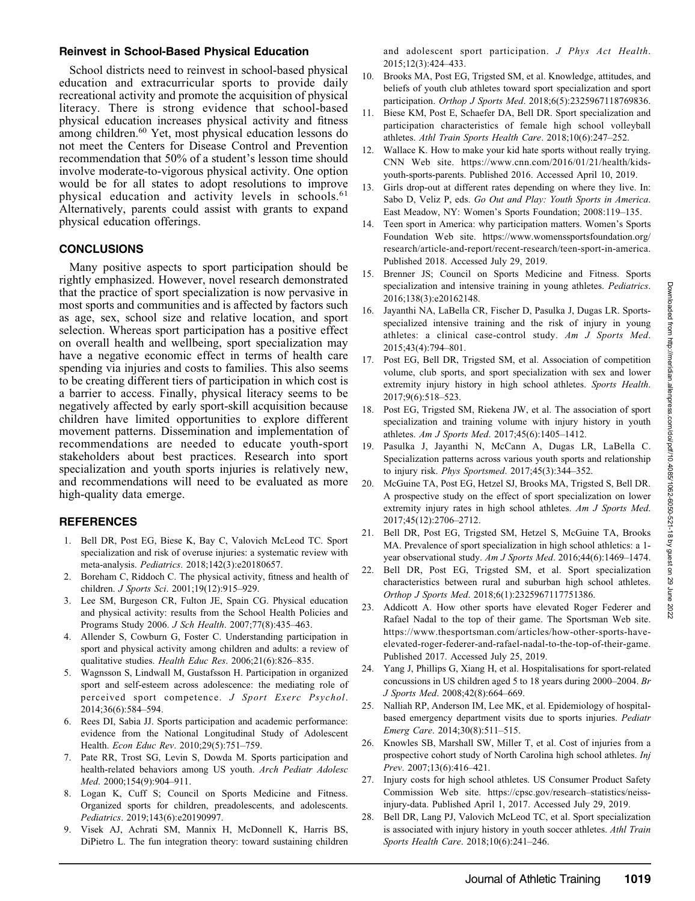#### Reinvest in School-Based Physical Education

School districts need to reinvest in school-based physical education and extracurricular sports to provide daily recreational activity and promote the acquisition of physical literacy. There is strong evidence that school-based physical education increases physical activity and fitness among children.<sup>60</sup> Yet, most physical education lessons do not meet the Centers for Disease Control and Prevention recommendation that 50% of a student's lesson time should involve moderate-to-vigorous physical activity. One option would be for all states to adopt resolutions to improve physical education and activity levels in schools.<sup>61</sup> Alternatively, parents could assist with grants to expand physical education offerings.

## **CONCLUSIONS**

Many positive aspects to sport participation should be rightly emphasized. However, novel research demonstrated that the practice of sport specialization is now pervasive in most sports and communities and is affected by factors such as age, sex, school size and relative location, and sport selection. Whereas sport participation has a positive effect on overall health and wellbeing, sport specialization may have a negative economic effect in terms of health care spending via injuries and costs to families. This also seems to be creating different tiers of participation in which cost is a barrier to access. Finally, physical literacy seems to be negatively affected by early sport-skill acquisition because children have limited opportunities to explore different movement patterns. Dissemination and implementation of recommendations are needed to educate youth-sport stakeholders about best practices. Research into sport specialization and youth sports injuries is relatively new, and recommendations will need to be evaluated as more high-quality data emerge.

# REFERENCES

- 1. Bell DR, Post EG, Biese K, Bay C, Valovich McLeod TC. Sport specialization and risk of overuse injuries: a systematic review with meta-analysis. Pediatrics. 2018;142(3):e20180657.
- 2. Boreham C, Riddoch C. The physical activity, fitness and health of children. J Sports Sci. 2001;19(12):915–929.
- 3. Lee SM, Burgeson CR, Fulton JE, Spain CG. Physical education and physical activity: results from the School Health Policies and Programs Study 2006. J Sch Health. 2007;77(8):435–463.
- 4. Allender S, Cowburn G, Foster C. Understanding participation in sport and physical activity among children and adults: a review of qualitative studies. Health Educ Res. 2006;21(6):826-835.
- 5. Wagnsson S, Lindwall M, Gustafsson H. Participation in organized sport and self-esteem across adolescence: the mediating role of perceived sport competence. J Sport Exerc Psychol. 2014;36(6):584–594.
- 6. Rees DI, Sabia JJ. Sports participation and academic performance: evidence from the National Longitudinal Study of Adolescent Health. Econ Educ Rev. 2010;29(5):751–759.
- 7. Pate RR, Trost SG, Levin S, Dowda M. Sports participation and health-related behaviors among US youth. Arch Pediatr Adolesc Med. 2000;154(9):904–911.
- 8. Logan K, Cuff S; Council on Sports Medicine and Fitness. Organized sports for children, preadolescents, and adolescents. Pediatrics. 2019;143(6):e20190997.
- 9. Visek AJ, Achrati SM, Mannix H, McDonnell K, Harris BS, DiPietro L. The fun integration theory: toward sustaining children

and adolescent sport participation. J Phys Act Health. 2015;12(3):424–433.

- 10. Brooks MA, Post EG, Trigsted SM, et al. Knowledge, attitudes, and beliefs of youth club athletes toward sport specialization and sport participation. Orthop J Sports Med. 2018;6(5):2325967118769836.
- 11. Biese KM, Post E, Schaefer DA, Bell DR. Sport specialization and participation characteristics of female high school volleyball athletes. Athl Train Sports Health Care. 2018;10(6):247–252.
- 12. Wallace K. How to make your kid hate sports without really trying. CNN Web site. https://www.cnn.com/2016/01/21/health/kidsyouth-sports-parents. Published 2016. Accessed April 10, 2019.
- 13. Girls drop-out at different rates depending on where they live. In: Sabo D, Veliz P, eds. Go Out and Play: Youth Sports in America. East Meadow, NY: Women's Sports Foundation; 2008:119–135.
- 14. Teen sport in America: why participation matters. Women's Sports Foundation Web site. https://www.womenssportsfoundation.org/ research/article-and-report/recent-research/teen-sport-in-america. Published 2018. Accessed July 29, 2019.
- 15. Brenner JS; Council on Sports Medicine and Fitness. Sports specialization and intensive training in young athletes. Pediatrics. 2016;138(3):e20162148.
- 16. Jayanthi NA, LaBella CR, Fischer D, Pasulka J, Dugas LR. Sportsspecialized intensive training and the risk of injury in young athletes: a clinical case-control study. Am J Sports Med. 2015;43(4):794–801.
- 17. Post EG, Bell DR, Trigsted SM, et al. Association of competition volume, club sports, and sport specialization with sex and lower extremity injury history in high school athletes. Sports Health. 2017;9(6):518–523.
- 18. Post EG, Trigsted SM, Riekena JW, et al. The association of sport specialization and training volume with injury history in youth athletes. Am J Sports Med. 2017;45(6):1405–1412.
- 19. Pasulka J, Jayanthi N, McCann A, Dugas LR, LaBella C. Specialization patterns across various youth sports and relationship to injury risk. Phys Sportsmed. 2017;45(3):344–352.
- McGuine TA, Post EG, Hetzel SJ, Brooks MA, Trigsted S, Bell DR. A prospective study on the effect of sport specialization on lower extremity injury rates in high school athletes. Am J Sports Med. 2017;45(12):2706–2712.
- 21. Bell DR, Post EG, Trigsted SM, Hetzel S, McGuine TA, Brooks MA. Prevalence of sport specialization in high school athletics: a 1 year observational study. Am J Sports Med. 2016;44(6):1469-1474.
- 22. Bell DR, Post EG, Trigsted SM, et al. Sport specialization characteristics between rural and suburban high school athletes. Orthop J Sports Med. 2018;6(1):2325967117751386.
- 23. Addicott A. How other sports have elevated Roger Federer and Rafael Nadal to the top of their game. The Sportsman Web site. https://www.thesportsman.com/articles/how-other-sports-haveelevated-roger-federer-and-rafael-nadal-to-the-top-of-their-game. Published 2017. Accessed July 25, 2019.
- 24. Yang J, Phillips G, Xiang H, et al. Hospitalisations for sport-related concussions in US children aged 5 to 18 years during 2000–2004. Br J Sports Med. 2008;42(8):664–669.
- 25. Nalliah RP, Anderson IM, Lee MK, et al. Epidemiology of hospitalbased emergency department visits due to sports injuries. Pediatr Emerg Care. 2014;30(8):511–515.
- 26. Knowles SB, Marshall SW, Miller T, et al. Cost of injuries from a prospective cohort study of North Carolina high school athletes. Inj Prev. 2007;13(6):416–421.
- 27. Injury costs for high school athletes. US Consumer Product Safety Commission Web site. https://cpsc.gov/research–statistics/neissinjury-data. Published April 1, 2017. Accessed July 29, 2019.
- 28. Bell DR, Lang PJ, Valovich McLeod TC, et al. Sport specialization is associated with injury history in youth soccer athletes. Athl Train Sports Health Care. 2018;10(6):241–246.